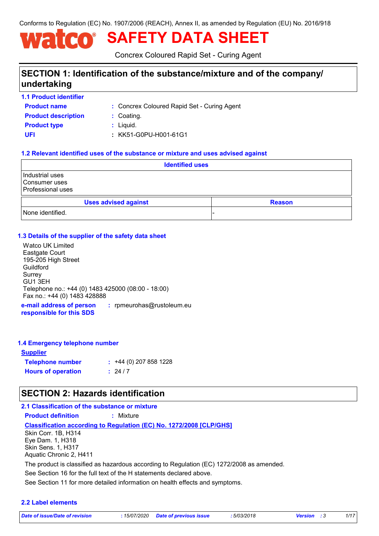Conforms to Regulation (EC) No. 1907/2006 (REACH), Annex II, as amended by Regulation (EU) No. 2016/918

# **SAFETY DATA SHEET**

Concrex Coloured Rapid Set - Curing Agent

## **SECTION 1: Identification of the substance/mixture and of the company/ undertaking**

**1.1 Product identifier**

Concrex Coloured Rapid Set - Curing Agent **:**

**Product name Product type**  $\qquad$ **:** Liquid. **Product description :** Coating.

**UFI :** KK51-G0PU-H001-61G1

### **1.2 Relevant identified uses of the substance or mixture and uses advised against**

|                                                              | <b>Identified uses</b>      |  |  |               |
|--------------------------------------------------------------|-----------------------------|--|--|---------------|
| Industrial uses<br>Consumer uses<br><b>Professional uses</b> |                             |  |  |               |
|                                                              | <b>Uses advised against</b> |  |  | <b>Reason</b> |
| None identified.                                             |                             |  |  |               |

### **1.3 Details of the supplier of the safety data sheet**

Watco UK Limited Eastgate Court 195-205 High Street **Guildford** Surrey GU1 3EH Telephone no.: +44 (0) 1483 425000 (08:00 - 18:00) Fax no.: +44 (0) 1483 428888

**e-mail address of person responsible for this SDS :** rpmeurohas@rustoleum.eu

### **1.4 Emergency telephone number**

| <u>Supplier</u>           |                             |
|---------------------------|-----------------------------|
| <b>Telephone number</b>   | $\div$ +44 (0) 207 858 1228 |
| <b>Hours of operation</b> | : 24/7                      |

## **SECTION 2: Hazards identification**

### **2.1 Classification of the substance or mixture**

**Product definition :** Mixture

#### **Classification according to Regulation (EC) No. 1272/2008 [CLP/GHS]**

Skin Corr. 1B, H314 Eye Dam. 1, H318 Skin Sens. 1, H317 Aquatic Chronic 2, H411

The product is classified as hazardous according to Regulation (EC) 1272/2008 as amended.

See Section 16 for the full text of the H statements declared above.

See Section 11 for more detailed information on health effects and symptoms.

### **2.2 Label elements**

*Date of issue/Date of revision* **:** *15/07/2020 Date of previous issue : 5/03/2018 Version : 3 1/17*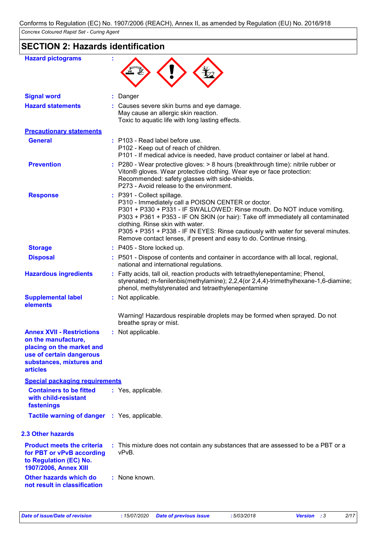## **SECTION 2: Hazards identification**

| <b>Hazard pictograms</b>                                                                                                                                        |                                                                                                                                                                                                                                                                                                                                                                                                                                                 |
|-----------------------------------------------------------------------------------------------------------------------------------------------------------------|-------------------------------------------------------------------------------------------------------------------------------------------------------------------------------------------------------------------------------------------------------------------------------------------------------------------------------------------------------------------------------------------------------------------------------------------------|
|                                                                                                                                                                 |                                                                                                                                                                                                                                                                                                                                                                                                                                                 |
| <b>Signal word</b>                                                                                                                                              | Danger                                                                                                                                                                                                                                                                                                                                                                                                                                          |
| <b>Hazard statements</b>                                                                                                                                        | : Causes severe skin burns and eye damage.<br>May cause an allergic skin reaction.<br>Toxic to aquatic life with long lasting effects.                                                                                                                                                                                                                                                                                                          |
| <b>Precautionary statements</b>                                                                                                                                 |                                                                                                                                                                                                                                                                                                                                                                                                                                                 |
| <b>General</b>                                                                                                                                                  | : P103 - Read label before use.<br>P102 - Keep out of reach of children.<br>P101 - If medical advice is needed, have product container or label at hand.                                                                                                                                                                                                                                                                                        |
| <b>Prevention</b>                                                                                                                                               | : P280 - Wear protective gloves: $> 8$ hours (breakthrough time): nitrile rubber or<br>Viton® gloves. Wear protective clothing. Wear eye or face protection:<br>Recommended: safety glasses with side-shields.<br>P273 - Avoid release to the environment.                                                                                                                                                                                      |
| <b>Response</b>                                                                                                                                                 | : P391 - Collect spillage.<br>P310 - Immediately call a POISON CENTER or doctor.<br>P301 + P330 + P331 - IF SWALLOWED: Rinse mouth. Do NOT induce vomiting.<br>P303 + P361 + P353 - IF ON SKIN (or hair): Take off immediately all contaminated<br>clothing. Rinse skin with water.<br>P305 + P351 + P338 - IF IN EYES: Rinse cautiously with water for several minutes.<br>Remove contact lenses, if present and easy to do. Continue rinsing. |
| <b>Storage</b>                                                                                                                                                  | : P405 - Store locked up.                                                                                                                                                                                                                                                                                                                                                                                                                       |
| <b>Disposal</b>                                                                                                                                                 | : P501 - Dispose of contents and container in accordance with all local, regional,<br>national and international regulations.                                                                                                                                                                                                                                                                                                                   |
| <b>Hazardous ingredients</b>                                                                                                                                    | : Fatty acids, tall oil, reaction products with tetraethylenepentamine; Phenol,<br>styrenated; m-fenilenbis(methylamine); 2,2,4(or 2,4,4)-trimethylhexane-1,6-diamine;<br>phenol, methylstyrenated and tetraethylenepentamine                                                                                                                                                                                                                   |
| <b>Supplemental label</b><br>elements                                                                                                                           | : Not applicable.                                                                                                                                                                                                                                                                                                                                                                                                                               |
|                                                                                                                                                                 | Warning! Hazardous respirable droplets may be formed when sprayed. Do not<br>breathe spray or mist.                                                                                                                                                                                                                                                                                                                                             |
| <b>Annex XVII - Restrictions</b><br>on the manufacture,<br>placing on the market and<br>use of certain dangerous<br>substances, mixtures and<br><b>articles</b> | Not applicable.                                                                                                                                                                                                                                                                                                                                                                                                                                 |
| <b>Special packaging requirements</b>                                                                                                                           |                                                                                                                                                                                                                                                                                                                                                                                                                                                 |
| <b>Containers to be fitted</b><br>with child-resistant<br>fastenings                                                                                            | : Yes, applicable.                                                                                                                                                                                                                                                                                                                                                                                                                              |
| Tactile warning of danger : Yes, applicable.                                                                                                                    |                                                                                                                                                                                                                                                                                                                                                                                                                                                 |
| <b>2.3 Other hazards</b>                                                                                                                                        |                                                                                                                                                                                                                                                                                                                                                                                                                                                 |
| <b>Product meets the criteria</b><br>for PBT or vPvB according<br>to Regulation (EC) No.<br>1907/2006, Annex XIII                                               | : This mixture does not contain any substances that are assessed to be a PBT or a<br>vPvB.                                                                                                                                                                                                                                                                                                                                                      |
| Other hazards which do<br>not result in classification                                                                                                          | : None known.                                                                                                                                                                                                                                                                                                                                                                                                                                   |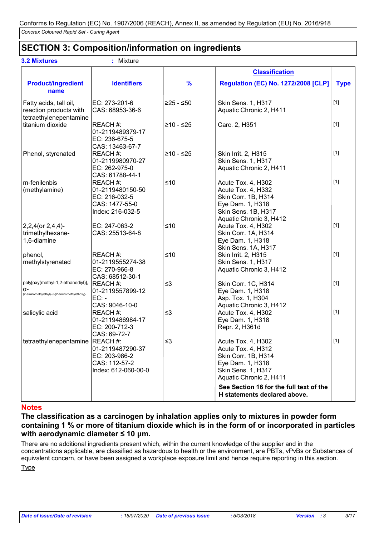## **SECTION 3: Composition/information on ingredients**

| <b>3.2 Mixtures</b>                                                                     | Mixture                                                                             |               |                                                                                                                                                                                 |             |
|-----------------------------------------------------------------------------------------|-------------------------------------------------------------------------------------|---------------|---------------------------------------------------------------------------------------------------------------------------------------------------------------------------------|-------------|
|                                                                                         |                                                                                     |               | <b>Classification</b>                                                                                                                                                           |             |
| <b>Product/ingredient</b><br>name                                                       | <b>Identifiers</b>                                                                  | $\frac{9}{6}$ | <b>Regulation (EC) No. 1272/2008 [CLP]</b>                                                                                                                                      | <b>Type</b> |
| Fatty acids, tall oil,<br>reaction products with<br>tetraethylenepentamine              | EC: 273-201-6<br>CAS: 68953-36-6                                                    | $≥25 - ≤50$   | Skin Sens. 1, H317<br>Aquatic Chronic 2, H411                                                                                                                                   | $[1]$       |
| titanium dioxide                                                                        | REACH #:<br>01-2119489379-17<br>EC: 236-675-5<br>CAS: 13463-67-7                    | $≥10 - ≤25$   | Carc. 2, H351                                                                                                                                                                   | $[1]$       |
| Phenol, styrenated                                                                      | REACH #:<br>01-2119980970-27<br>EC: 262-975-0<br>CAS: 61788-44-1                    | $≥10 - ≤25$   | Skin Irrit. 2, H315<br>Skin Sens. 1, H317<br>Aquatic Chronic 2, H411                                                                                                            | $[1]$       |
| m-fenilenbis<br>(methylamine)                                                           | REACH #:<br>01-2119480150-50<br>EC: 216-032-5<br>CAS: 1477-55-0<br>Index: 216-032-5 | $≤10$         | Acute Tox. 4, H302<br>Acute Tox. 4, H332<br>Skin Corr. 1B, H314<br>Eye Dam. 1, H318<br>Skin Sens. 1B, H317<br>Aquatic Chronic 3, H412                                           | $[1]$       |
| $2,2,4$ (or $2,4,4$ )-<br>trimethylhexane-<br>1,6-diamine                               | EC: 247-063-2<br>CAS: 25513-64-8                                                    | $≤10$         | Acute Tox. 4, H302<br>Skin Corr. 1A, H314<br>Eye Dam. 1, H318<br>Skin Sens. 1A, H317                                                                                            | $[1]$       |
| phenol,<br>methylstyrenated                                                             | REACH #:<br>01-2119555274-38<br>EC: 270-966-8<br>CAS: 68512-30-1                    | $≤10$         | Skin Irrit. 2, H315<br>Skin Sens. 1, H317<br>Aquatic Chronic 3, H412                                                                                                            | $[1]$       |
| poly[oxy(methyl-1,2-ethanediyl)]<br>α-<br>(2-aminomethylethyl)-ω-(2-aminomethylethoxy)- | REACH #:<br>01-2119557899-12<br>$EC: -$<br>CAS: 9046-10-0                           | $\leq$ 3      | Skin Corr. 1C, H314<br>Eye Dam. 1, H318<br>Asp. Tox. 1, H304<br>Aquatic Chronic 3, H412                                                                                         | $[1]$       |
| salicylic acid                                                                          | REACH #:<br>01-2119486984-17<br>EC: 200-712-3<br>CAS: 69-72-7                       | $\leq$ 3      | Acute Tox. 4, H302<br>Eye Dam. 1, H318<br>Repr. 2, H361d                                                                                                                        | $[1]$       |
| tetraethylenepentamine REACH #:                                                         | 01-2119487290-37<br>EC: 203-986-2<br>CAS: 112-57-2<br>Index: 612-060-00-0           | $\leq$ 3      | Acute Tox. 4, H302<br>Acute Tox. 4, H312<br>Skin Corr. 1B, H314<br>Eye Dam. 1, H318<br>Skin Sens. 1, H317<br>Aquatic Chronic 2, H411<br>See Section 16 for the full text of the | $\vert$ [1] |
|                                                                                         |                                                                                     |               | H statements declared above.                                                                                                                                                    |             |

### **Notes**

**The classification as a carcinogen by inhalation applies only to mixtures in powder form containing 1 % or more of titanium dioxide which is in the form of or incorporated in particles with aerodynamic diameter ≤ 10 μm.**

**Type** There are no additional ingredients present which, within the current knowledge of the supplier and in the concentrations applicable, are classified as hazardous to health or the environment, are PBTs, vPvBs or Substances of equivalent concern, or have been assigned a workplace exposure limit and hence require reporting in this section.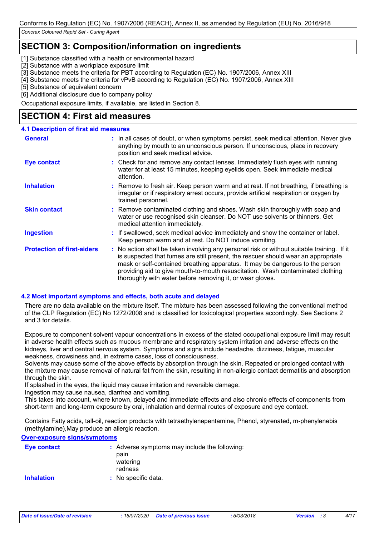## **SECTION 3: Composition/information on ingredients**

[1] Substance classified with a health or environmental hazard

[2] Substance with a workplace exposure limit

[3] Substance meets the criteria for PBT according to Regulation (EC) No. 1907/2006, Annex XIII

[4] Substance meets the criteria for vPvB according to Regulation (EC) No. 1907/2006, Annex XIII

[5] Substance of equivalent concern

[6] Additional disclosure due to company policy

Occupational exposure limits, if available, are listed in Section 8.

## **SECTION 4: First aid measures**

### **4.1 Description of first aid measures**

| <b>General</b>                    | : In all cases of doubt, or when symptoms persist, seek medical attention. Never give<br>anything by mouth to an unconscious person. If unconscious, place in recovery<br>position and seek medical advice.                                                                                                                                                                                                     |
|-----------------------------------|-----------------------------------------------------------------------------------------------------------------------------------------------------------------------------------------------------------------------------------------------------------------------------------------------------------------------------------------------------------------------------------------------------------------|
| Eye contact                       | : Check for and remove any contact lenses. Immediately flush eyes with running<br>water for at least 15 minutes, keeping eyelids open. Seek immediate medical<br>attention.                                                                                                                                                                                                                                     |
| <b>Inhalation</b>                 | : Remove to fresh air. Keep person warm and at rest. If not breathing, if breathing is<br>irregular or if respiratory arrest occurs, provide artificial respiration or oxygen by<br>trained personnel.                                                                                                                                                                                                          |
| <b>Skin contact</b>               | : Remove contaminated clothing and shoes. Wash skin thoroughly with soap and<br>water or use recognised skin cleanser. Do NOT use solvents or thinners. Get<br>medical attention immediately.                                                                                                                                                                                                                   |
| <b>Ingestion</b>                  | : If swallowed, seek medical advice immediately and show the container or label.<br>Keep person warm and at rest. Do NOT induce vomiting.                                                                                                                                                                                                                                                                       |
| <b>Protection of first-aiders</b> | : No action shall be taken involving any personal risk or without suitable training. If it<br>is suspected that fumes are still present, the rescuer should wear an appropriate<br>mask or self-contained breathing apparatus. It may be dangerous to the person<br>providing aid to give mouth-to-mouth resuscitation. Wash contaminated clothing<br>thoroughly with water before removing it, or wear gloves. |

### **4.2 Most important symptoms and effects, both acute and delayed**

There are no data available on the mixture itself. The mixture has been assessed following the conventional method of the CLP Regulation (EC) No 1272/2008 and is classified for toxicological properties accordingly. See Sections 2 and 3 for details.

Exposure to component solvent vapour concentrations in excess of the stated occupational exposure limit may result in adverse health effects such as mucous membrane and respiratory system irritation and adverse effects on the kidneys, liver and central nervous system. Symptoms and signs include headache, dizziness, fatigue, muscular weakness, drowsiness and, in extreme cases, loss of consciousness.

Solvents may cause some of the above effects by absorption through the skin. Repeated or prolonged contact with the mixture may cause removal of natural fat from the skin, resulting in non-allergic contact dermatitis and absorption through the skin.

If splashed in the eyes, the liquid may cause irritation and reversible damage.

Ingestion may cause nausea, diarrhea and vomiting.

This takes into account, where known, delayed and immediate effects and also chronic effects of components from short-term and long-term exposure by oral, inhalation and dermal routes of exposure and eye contact.

Contains Fatty acids, tall-oil, reaction products with tetraethylenepentamine, Phenol, styrenated, m-phenylenebis (methylamine),May produce an allergic reaction.

### **Over-exposure signs/symptoms**

| Eye contact       | : Adverse symptoms may include the following:<br>pain<br>watering<br>redness |
|-------------------|------------------------------------------------------------------------------|
| <b>Inhalation</b> | : No specific data.                                                          |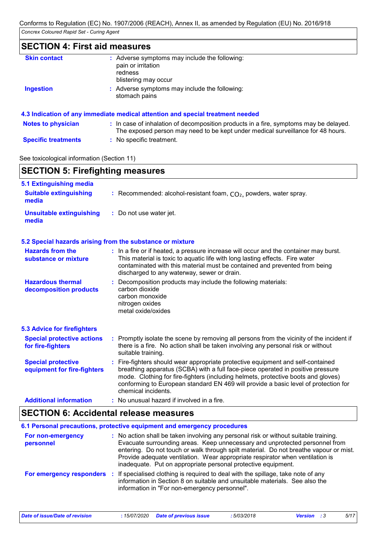## **SECTION 4: First aid measures**

| <b>Skin contact</b>       | : Adverse symptoms may include the following:<br>pain or irritation<br>redness<br>blistering may occur                                                                   |
|---------------------------|--------------------------------------------------------------------------------------------------------------------------------------------------------------------------|
| <b>Ingestion</b>          | Adverse symptoms may include the following:<br>stomach pains                                                                                                             |
|                           | 4.3 Indication of any immediate medical attention and special treatment needed                                                                                           |
| <b>Notes to physician</b> | : In case of inhalation of decomposition products in a fire, symptoms may be delayed.<br>The exposed person may need to be kept under medical surveillance for 48 hours. |

**Specific treatments :** No specific treatment.

See toxicological information (Section 11)

Ť

| <b>SECTION 5: Firefighting measures</b>                  |                                                                                                                                                                                                                                                                                                                                                                       |
|----------------------------------------------------------|-----------------------------------------------------------------------------------------------------------------------------------------------------------------------------------------------------------------------------------------------------------------------------------------------------------------------------------------------------------------------|
| 5.1 Extinguishing media                                  |                                                                                                                                                                                                                                                                                                                                                                       |
| <b>Suitable extinguishing</b><br>media                   | : Recommended: alcohol-resistant foam, $CO2$ , powders, water spray.                                                                                                                                                                                                                                                                                                  |
| <b>Unsuitable extinguishing</b><br>media                 | : Do not use water jet.                                                                                                                                                                                                                                                                                                                                               |
|                                                          | 5.2 Special hazards arising from the substance or mixture                                                                                                                                                                                                                                                                                                             |
| <b>Hazards from the</b><br>substance or mixture          | : In a fire or if heated, a pressure increase will occur and the container may burst.<br>This material is toxic to aquatic life with long lasting effects. Fire water<br>contaminated with this material must be contained and prevented from being<br>discharged to any waterway, sewer or drain.                                                                    |
| <b>Hazardous thermal</b><br>decomposition products       | : Decomposition products may include the following materials:<br>carbon dioxide<br>carbon monoxide<br>nitrogen oxides<br>metal oxide/oxides                                                                                                                                                                                                                           |
| <b>5.3 Advice for firefighters</b>                       |                                                                                                                                                                                                                                                                                                                                                                       |
| <b>Special protective actions</b><br>for fire-fighters   | : Promptly isolate the scene by removing all persons from the vicinity of the incident if<br>there is a fire. No action shall be taken involving any personal risk or without<br>suitable training.                                                                                                                                                                   |
| <b>Special protective</b><br>equipment for fire-fighters | : Fire-fighters should wear appropriate protective equipment and self-contained<br>breathing apparatus (SCBA) with a full face-piece operated in positive pressure<br>mode. Clothing for fire-fighters (including helmets, protective boots and gloves)<br>conforming to European standard EN 469 will provide a basic level of protection for<br>chemical incidents. |
| <b>Additional information</b>                            | : No unusual hazard if involved in a fire.                                                                                                                                                                                                                                                                                                                            |

### **SECTION 6: Accidental release measures**

|                                | 6.1 Personal precautions, protective equipment and emergency procedures                                                                                                                                                                                                                                                                                                                                        |
|--------------------------------|----------------------------------------------------------------------------------------------------------------------------------------------------------------------------------------------------------------------------------------------------------------------------------------------------------------------------------------------------------------------------------------------------------------|
| For non-emergency<br>personnel | : No action shall be taken involving any personal risk or without suitable training.<br>Evacuate surrounding areas. Keep unnecessary and unprotected personnel from<br>entering. Do not touch or walk through spilt material. Do not breathe vapour or mist.<br>Provide adequate ventilation. Wear appropriate respirator when ventilation is<br>inadequate. Put on appropriate personal protective equipment. |
|                                | For emergency responders : If specialised clothing is required to deal with the spillage, take note of any<br>information in Section 8 on suitable and unsuitable materials. See also the<br>information in "For non-emergency personnel".                                                                                                                                                                     |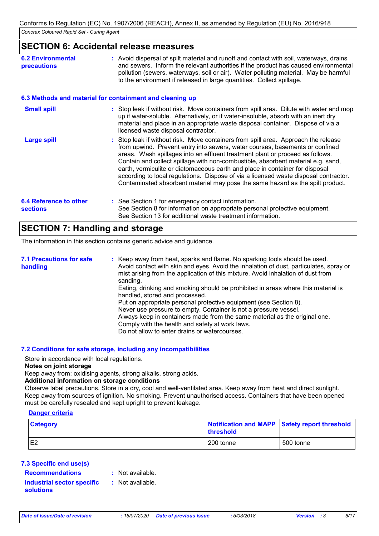### **SECTION 6: Accidental release measures**

| <b>6.2 Environmental</b><br><b>precautions</b>   | : Avoid dispersal of spilt material and runoff and contact with soil, waterways, drains<br>and sewers. Inform the relevant authorities if the product has caused environmental<br>pollution (sewers, waterways, soil or air). Water polluting material. May be harmful<br>to the environment if released in large quantities. Collect spillage.                                                                                                                                                                                                                                                   |  |  |
|--------------------------------------------------|---------------------------------------------------------------------------------------------------------------------------------------------------------------------------------------------------------------------------------------------------------------------------------------------------------------------------------------------------------------------------------------------------------------------------------------------------------------------------------------------------------------------------------------------------------------------------------------------------|--|--|
|                                                  | 6.3 Methods and material for containment and cleaning up                                                                                                                                                                                                                                                                                                                                                                                                                                                                                                                                          |  |  |
| <b>Small spill</b>                               | : Stop leak if without risk. Move containers from spill area. Dilute with water and mop<br>up if water-soluble. Alternatively, or if water-insoluble, absorb with an inert dry<br>material and place in an appropriate waste disposal container. Dispose of via a<br>licensed waste disposal contractor.                                                                                                                                                                                                                                                                                          |  |  |
| <b>Large spill</b>                               | : Stop leak if without risk. Move containers from spill area. Approach the release<br>from upwind. Prevent entry into sewers, water courses, basements or confined<br>areas. Wash spillages into an effluent treatment plant or proceed as follows.<br>Contain and collect spillage with non-combustible, absorbent material e.g. sand,<br>earth, vermiculite or diatomaceous earth and place in container for disposal<br>according to local regulations. Dispose of via a licensed waste disposal contractor.<br>Contaminated absorbent material may pose the same hazard as the spilt product. |  |  |
| <b>6.4 Reference to other</b><br><b>sections</b> | : See Section 1 for emergency contact information.<br>See Section 8 for information on appropriate personal protective equipment.<br>See Section 13 for additional waste treatment information.                                                                                                                                                                                                                                                                                                                                                                                                   |  |  |

## **SECTION 7: Handling and storage**

The information in this section contains generic advice and guidance.

| <b>7.1 Precautions for safe</b><br>handling | : Keep away from heat, sparks and flame. No sparking tools should be used.<br>Avoid contact with skin and eyes. Avoid the inhalation of dust, particulates, spray or<br>mist arising from the application of this mixture. Avoid inhalation of dust from<br>sanding.                                                                                                                                                                           |
|---------------------------------------------|------------------------------------------------------------------------------------------------------------------------------------------------------------------------------------------------------------------------------------------------------------------------------------------------------------------------------------------------------------------------------------------------------------------------------------------------|
|                                             | Eating, drinking and smoking should be prohibited in areas where this material is<br>handled, stored and processed.<br>Put on appropriate personal protective equipment (see Section 8).<br>Never use pressure to empty. Container is not a pressure vessel.<br>Always keep in containers made from the same material as the original one.<br>Comply with the health and safety at work laws.<br>Do not allow to enter drains or watercourses. |

### **7.2 Conditions for safe storage, including any incompatibilities**

Store in accordance with local regulations.

#### **Notes on joint storage**

Keep away from: oxidising agents, strong alkalis, strong acids.

#### **Additional information on storage conditions**

Observe label precautions. Store in a dry, cool and well-ventilated area. Keep away from heat and direct sunlight. Keep away from sources of ignition. No smoking. Prevent unauthorised access. Containers that have been opened must be carefully resealed and kept upright to prevent leakage.

### **Danger criteria**

| <b>Category</b> | <b>Ithreshold</b> | Notification and MAPP Safety report threshold |  |
|-----------------|-------------------|-----------------------------------------------|--|
| E <sub>2</sub>  | 200 tonne         | 500 tonne                                     |  |

### **7.3 Specific end use(s)**

**Recommendations :**

: Not available.

### **Industrial sector specific : solutions**

: Not available.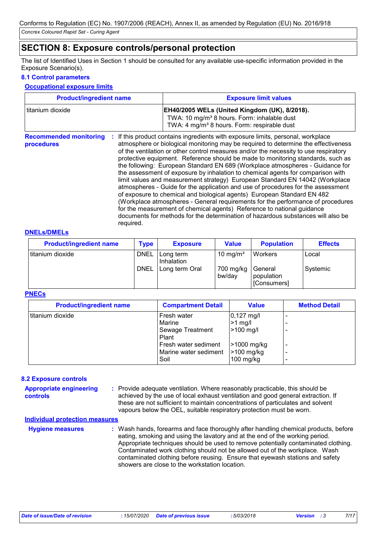## **SECTION 8: Exposure controls/personal protection**

The list of Identified Uses in Section 1 should be consulted for any available use-specific information provided in the Exposure Scenario(s).

### **8.1 Control parameters**

### **Occupational exposure limits**

| <b>Product/ingredient name</b>              |                 | <b>Exposure limit values</b>                                                                                                                                                                                                                                                                                                                                                                                                                                                                                                                                                                                                                                                                                                                                                                                                                                                                                                                                                                                        |
|---------------------------------------------|-----------------|---------------------------------------------------------------------------------------------------------------------------------------------------------------------------------------------------------------------------------------------------------------------------------------------------------------------------------------------------------------------------------------------------------------------------------------------------------------------------------------------------------------------------------------------------------------------------------------------------------------------------------------------------------------------------------------------------------------------------------------------------------------------------------------------------------------------------------------------------------------------------------------------------------------------------------------------------------------------------------------------------------------------|
| titanium dioxide                            |                 | EH40/2005 WELs (United Kingdom (UK), 8/2018).<br>TWA: 10 mg/m <sup>3</sup> 8 hours. Form: inhalable dust<br>TWA: 4 mg/m <sup>3</sup> 8 hours. Form: respirable dust                                                                                                                                                                                                                                                                                                                                                                                                                                                                                                                                                                                                                                                                                                                                                                                                                                                 |
| <b>Recommended monitoring</b><br>procedures | ÷.<br>required. | If this product contains ingredients with exposure limits, personal, workplace<br>atmosphere or biological monitoring may be required to determine the effectiveness<br>of the ventilation or other control measures and/or the necessity to use respiratory<br>protective equipment. Reference should be made to monitoring standards, such as<br>the following: European Standard EN 689 (Workplace atmospheres - Guidance for<br>the assessment of exposure by inhalation to chemical agents for comparison with<br>limit values and measurement strategy) European Standard EN 14042 (Workplace<br>atmospheres - Guide for the application and use of procedures for the assessment<br>of exposure to chemical and biological agents) European Standard EN 482<br>(Workplace atmospheres - General requirements for the performance of procedures<br>for the measurement of chemical agents) Reference to national guidance<br>documents for methods for the determination of hazardous substances will also be |

#### **DNELs/DMELs**

| <b>Product/ingredient name</b> | <b>Type</b> | <b>Exposure</b>         | <b>Value</b>         | <b>Population</b>                    | <b>Effects</b> |
|--------------------------------|-------------|-------------------------|----------------------|--------------------------------------|----------------|
| titanium dioxide               | <b>DNEL</b> | Long term<br>Inhalation | 10 mg/m <sup>3</sup> | <b>Workers</b>                       | Local          |
|                                | <b>DNEL</b> | Long term Oral          | 700 mg/kg<br>bw/day  | General<br>population<br>[Consumers] | Systemic       |

#### **PNECs**

| <b>Product/ingredient name</b> | <b>Compartment Detail</b>                                                                                   | <b>Value</b>                                                                               | <b>Method Detail</b> |
|--------------------------------|-------------------------------------------------------------------------------------------------------------|--------------------------------------------------------------------------------------------|----------------------|
| titanium dioxide               | Fresh water<br>Marine<br>Sewage Treatment<br>Plant<br>Fresh water sediment<br>Marine water sediment<br>Soil | $0,127 \text{ mg/l}$<br>$>1$ mg/l<br>>100 mg/l<br>>1000 mg/kg<br>>100 mg/kg<br>$100$ mg/kg |                      |

### **8.2 Exposure controls**

| <b>Appropriate engineering</b><br><b>controls</b> | : Provide adequate ventilation. Where reasonably practicable, this should be<br>achieved by the use of local exhaust ventilation and good general extraction. If<br>these are not sufficient to maintain concentrations of particulates and solvent<br>vapours below the OEL, suitable respiratory protection must be worn. |
|---------------------------------------------------|-----------------------------------------------------------------------------------------------------------------------------------------------------------------------------------------------------------------------------------------------------------------------------------------------------------------------------|
|                                                   |                                                                                                                                                                                                                                                                                                                             |

#### **Individual protection measures**

| <b>Hygiene measures</b> | : Wash hands, forearms and face thoroughly after handling chemical products, before<br>eating, smoking and using the lavatory and at the end of the working period.<br>Appropriate techniques should be used to remove potentially contaminated clothing.<br>Contaminated work clothing should not be allowed out of the workplace. Wash<br>contaminated clothing before reusing. Ensure that eyewash stations and safety |
|-------------------------|---------------------------------------------------------------------------------------------------------------------------------------------------------------------------------------------------------------------------------------------------------------------------------------------------------------------------------------------------------------------------------------------------------------------------|
|                         | showers are close to the workstation location.                                                                                                                                                                                                                                                                                                                                                                            |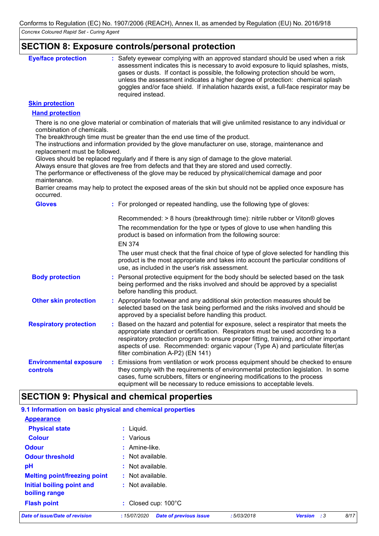### **SECTION 8: Exposure controls/personal protection**

| <b>Eye/face protection</b> | : Safety eyewear complying with an approved standard should be used when a risk<br>assessment indicates this is necessary to avoid exposure to liquid splashes, mists,<br>gases or dusts. If contact is possible, the following protection should be worn,<br>unless the assessment indicates a higher degree of protection: chemical splash<br>goggles and/or face shield. If inhalation hazards exist, a full-face respirator may be<br>required instead. |
|----------------------------|-------------------------------------------------------------------------------------------------------------------------------------------------------------------------------------------------------------------------------------------------------------------------------------------------------------------------------------------------------------------------------------------------------------------------------------------------------------|
|                            |                                                                                                                                                                                                                                                                                                                                                                                                                                                             |

### **Skin protection**

### **Hand protection**

There is no one glove material or combination of materials that will give unlimited resistance to any individual or combination of chemicals.

The breakthrough time must be greater than the end use time of the product.

The instructions and information provided by the glove manufacturer on use, storage, maintenance and replacement must be followed.

Gloves should be replaced regularly and if there is any sign of damage to the glove material.

Always ensure that gloves are free from defects and that they are stored and used correctly.

The performance or effectiveness of the glove may be reduced by physical/chemical damage and poor maintenance.

Barrier creams may help to protect the exposed areas of the skin but should not be applied once exposure has occurred.

| <b>Gloves</b>                             | : For prolonged or repeated handling, use the following type of gloves:                                                                                                                                                                                                                                                                                                                 |
|-------------------------------------------|-----------------------------------------------------------------------------------------------------------------------------------------------------------------------------------------------------------------------------------------------------------------------------------------------------------------------------------------------------------------------------------------|
|                                           | Recommended: > 8 hours (breakthrough time): nitrile rubber or Viton® gloves                                                                                                                                                                                                                                                                                                             |
|                                           | The recommendation for the type or types of glove to use when handling this<br>product is based on information from the following source:                                                                                                                                                                                                                                               |
|                                           | <b>EN 374</b>                                                                                                                                                                                                                                                                                                                                                                           |
|                                           | The user must check that the final choice of type of glove selected for handling this<br>product is the most appropriate and takes into account the particular conditions of<br>use, as included in the user's risk assessment.                                                                                                                                                         |
| <b>Body protection</b>                    | : Personal protective equipment for the body should be selected based on the task<br>being performed and the risks involved and should be approved by a specialist<br>before handling this product.                                                                                                                                                                                     |
| <b>Other skin protection</b>              | : Appropriate footwear and any additional skin protection measures should be<br>selected based on the task being performed and the risks involved and should be<br>approved by a specialist before handling this product.                                                                                                                                                               |
| <b>Respiratory protection</b>             | : Based on the hazard and potential for exposure, select a respirator that meets the<br>appropriate standard or certification. Respirators must be used according to a<br>respiratory protection program to ensure proper fitting, training, and other important<br>aspects of use. Recommended: organic vapour (Type A) and particulate filter(as<br>filter combination A-P2) (EN 141) |
| <b>Environmental exposure</b><br>controls | : Emissions from ventilation or work process equipment should be checked to ensure<br>they comply with the requirements of environmental protection legislation. In some<br>cases, fume scrubbers, filters or engineering modifications to the process<br>equipment will be necessary to reduce emissions to acceptable levels.                                                         |

## **SECTION 9: Physical and chemical properties**

| 9.1 Information on basic physical and chemical properties |                                              |            |                         |      |
|-----------------------------------------------------------|----------------------------------------------|------------|-------------------------|------|
| <b>Appearance</b>                                         |                                              |            |                         |      |
| <b>Physical state</b>                                     | $:$ Liquid.                                  |            |                         |      |
| <b>Colour</b>                                             | : Various                                    |            |                         |      |
| <b>Odour</b>                                              | $:$ Amine-like.                              |            |                         |      |
| <b>Odour threshold</b>                                    | $\cdot$ Not available.                       |            |                         |      |
| pH                                                        | : Not available.                             |            |                         |      |
| <b>Melting point/freezing point</b>                       | $:$ Not available.                           |            |                         |      |
| Initial boiling point and<br>boiling range                | $:$ Not available.                           |            |                         |      |
| <b>Flash point</b>                                        | : Closed cup: $100^{\circ}$ C                |            |                         |      |
| <b>Date of issue/Date of revision</b>                     | <b>Date of previous issue</b><br>:15/07/2020 | :5/03/2018 | <b>Version</b><br>- : 3 | 8/17 |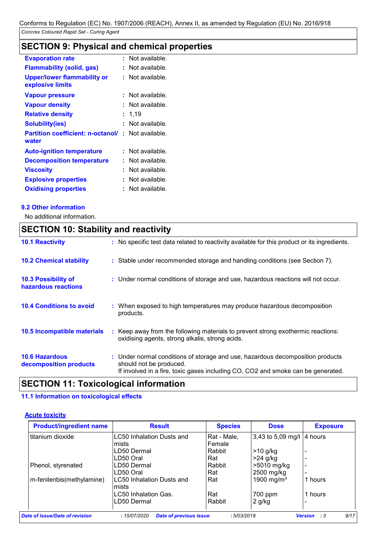## **SECTION 9: Physical and chemical properties**

| <b>Evaporation rate</b>                                | t. | Not available. |
|--------------------------------------------------------|----|----------------|
| <b>Flammability (solid, gas)</b>                       | t. | Not available. |
| <b>Upper/lower flammability or</b><br>explosive limits | t. | Not available. |
| <b>Vapour pressure</b>                                 | ŧ. | Not available. |
| <b>Vapour density</b>                                  |    | Not available. |
| <b>Relative density</b>                                |    | 1,19           |
| <b>Solubility(ies)</b>                                 |    | Not available. |
| <b>Partition coefficient: n-octanol/</b><br>water      | ŧ. | Not available. |
| <b>Auto-ignition temperature</b>                       | ŧ. | Not available. |
| <b>Decomposition temperature</b>                       | t  | Not available. |
| <b>Viscosity</b>                                       |    | Not available. |
| <b>Explosive properties</b>                            | t  | Not available. |
| <b>Oxidising properties</b>                            |    | Not available. |

### **9.2 Other information**

No additional information.

## **SECTION 10: Stability and reactivity**

| <b>10.1 Reactivity</b>                          | : No specific test data related to reactivity available for this product or its ingredients.                                                                                                  |
|-------------------------------------------------|-----------------------------------------------------------------------------------------------------------------------------------------------------------------------------------------------|
| <b>10.2 Chemical stability</b>                  | : Stable under recommended storage and handling conditions (see Section 7).                                                                                                                   |
| 10.3 Possibility of<br>hazardous reactions      | : Under normal conditions of storage and use, hazardous reactions will not occur.                                                                                                             |
| <b>10.4 Conditions to avoid</b>                 | : When exposed to high temperatures may produce hazardous decomposition<br>products.                                                                                                          |
| 10.5 Incompatible materials                     | : Keep away from the following materials to prevent strong exothermic reactions:<br>oxidising agents, strong alkalis, strong acids.                                                           |
| <b>10.6 Hazardous</b><br>decomposition products | : Under normal conditions of storage and use, hazardous decomposition products<br>should not be produced.<br>If involved in a fire, toxic gases including CO, CO2 and smoke can be generated. |

## **SECTION 11: Toxicological information**

### **11.1 Information on toxicological effects**

### **Acute toxicity**

| <b>Product/ingredient name</b> | <b>Result</b>                             | <b>Species</b> | <b>Dose</b>            | <b>Exposure</b> |
|--------------------------------|-------------------------------------------|----------------|------------------------|-----------------|
| titanium dioxide               | LC50 Inhalation Dusts and                 | Rat - Male,    | 3,43 to 5,09 mg/l      | 14 hours        |
|                                | mists                                     | Female         |                        |                 |
|                                | LD50 Dermal                               | Rabbit         | >10 g/kg               |                 |
|                                | LD50 Oral                                 | Rat            | $>24$ g/kg             |                 |
| Phenol, styrenated             | LD50 Dermal                               | Rabbit         | >5010 mg/kg            |                 |
|                                | LD50 Oral                                 | Rat            | 2500 mg/kg             |                 |
| m-fenilenbis(methylamine)      | <b>LC50 Inhalation Dusts and</b><br>mists | Rat            | 1900 mg/m <sup>3</sup> | 1 hours         |
|                                | LC50 Inhalation Gas.                      | Rat            | 700 ppm                | 1 hours         |
|                                | LD50 Dermal                               | Rabbit         | $2$ g/kg               |                 |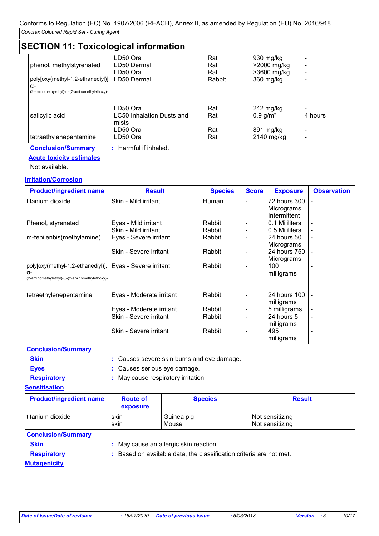## **SECTION 11: Toxicological information**

|                                                | LD50 Oral                              | Rat        | 930 mg/kg                           |         |  |  |  |
|------------------------------------------------|----------------------------------------|------------|-------------------------------------|---------|--|--|--|
| phenol, methylstyrenated                       | LD50 Dermal                            | Rat        | >2000 mg/kg                         |         |  |  |  |
|                                                | LD50 Oral                              | Rat        | >3600 mg/kg                         |         |  |  |  |
| poly[oxy(methyl-1,2-ethanediyl)], ILD50 Dermal |                                        | Rabbit     | 360 mg/kg                           |         |  |  |  |
| α-                                             |                                        |            |                                     |         |  |  |  |
| (2-aminomethylethyl)-ω-(2-aminomethylethoxy)-  |                                        |            |                                     |         |  |  |  |
| salicylic acid                                 | LD50 Oral<br>LC50 Inhalation Dusts and | Rat<br>Rat | 242 mg/kg<br>$0,9$ g/m <sup>3</sup> | 4 hours |  |  |  |
|                                                | mists<br>LD50 Oral                     | Rat        | 891 mg/kg                           |         |  |  |  |
| tetraethylenepentamine                         | LD50 Oral                              | Rat        | 2140 mg/kg                          |         |  |  |  |

## **Conclusion/Summary :** Harmful if inhaled.

### **Acute toxicity estimates**

Not available.

### **Irritation/Corrosion**

| <b>Product/ingredient name</b>                              | <b>Result</b>            | <b>Species</b> | <b>Score</b>             | <b>Exposure</b>             | <b>Observation</b>       |
|-------------------------------------------------------------|--------------------------|----------------|--------------------------|-----------------------------|--------------------------|
| titanium dioxide                                            | Skin - Mild irritant     | Human          | $\overline{\phantom{0}}$ | 72 hours 300<br> Micrograms |                          |
|                                                             |                          |                |                          | IIntermittent               |                          |
| Phenol, styrenated                                          | Eyes - Mild irritant     | Rabbit         |                          | 0.1 Mililiters              |                          |
|                                                             | Skin - Mild irritant     | Rabbit         | $\overline{\phantom{a}}$ | 10.5 Mililiters             |                          |
| m-fenilenbis(methylamine)                                   | Eyes - Severe irritant   | Rabbit         | $\overline{\phantom{a}}$ | I24 hours 50                | $\overline{\phantom{a}}$ |
|                                                             |                          |                |                          | Micrograms                  |                          |
|                                                             | Skin - Severe irritant   | Rabbit         | $\overline{\phantom{a}}$ | 24 hours 750                |                          |
|                                                             |                          |                |                          | Micrograms                  |                          |
| poly[oxy(methyl-1,2-ethanediyl)],   Eyes - Severe irritant  |                          | Rabbit         |                          | 100                         |                          |
| $\alpha$ -<br>(2-aminomethylethyl)-ω-(2-aminomethylethoxy)- |                          |                |                          | milligrams                  |                          |
|                                                             |                          |                |                          |                             |                          |
| tetraethylenepentamine                                      | Eyes - Moderate irritant | Rabbit         | $\overline{\phantom{a}}$ | 24 hours 100                |                          |
|                                                             |                          |                |                          | milligrams                  |                          |
|                                                             | Eyes - Moderate irritant | Rabbit         | $\overline{\phantom{a}}$ | 5 milligrams                |                          |
|                                                             | Skin - Severe irritant   | Rabbit         |                          | 124 hours 5                 | $\overline{\phantom{a}}$ |
|                                                             |                          |                |                          | milligrams                  |                          |
|                                                             | Skin - Severe irritant   | Rabbit         |                          | 495                         |                          |
|                                                             |                          |                |                          | milligrams                  |                          |

### **Conclusion/Summary**

- **Skin :** Causes severe skin burns and eye damage.
- **Eyes :** Causes serious eye damage.
- **Respiratory :** May cause respiratory irritation.

### **Sensitisation**

| <b>Product/ingredient name</b> | <b>Route of</b><br>exposure                                         | <b>Species</b>                         | <b>Result</b>                      |
|--------------------------------|---------------------------------------------------------------------|----------------------------------------|------------------------------------|
| titanium dioxide               | skin<br>skin                                                        | Guinea pig<br>Mouse                    | Not sensitizing<br>Not sensitizing |
| <b>Conclusion/Summary</b>      |                                                                     |                                        |                                    |
| <b>Skin</b>                    |                                                                     | : May cause an allergic skin reaction. |                                    |
| <b>Respiratory</b>             | : Based on available data, the classification criteria are not met. |                                        |                                    |
| <b>Mutagenicity</b>            |                                                                     |                                        |                                    |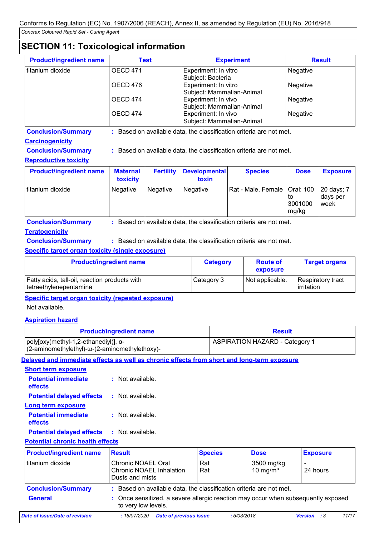## **SECTION 11: Toxicological information**

| <b>Product/ingredient name</b> | Test     | <b>Experiment</b>                                 | <b>Result</b> |
|--------------------------------|----------|---------------------------------------------------|---------------|
| titanium dioxide               | OECD 471 | Experiment: In vitro<br>Subject: Bacteria         | Negative      |
|                                | OECD 476 | Experiment: In vitro<br>Subject: Mammalian-Animal | Negative      |
|                                | OECD 474 | Experiment: In vivo<br>Subject: Mammalian-Animal  | Negative      |
|                                | OECD 474 | Experiment: In vivo<br>Subject: Mammalian-Animal  | Negative      |

**Conclusion/Summary :** Based on available data, the classification criteria are not met.

### **Carcinogenicity**

**Conclusion/Summary :** Based on available data, the classification criteria are not met.

### **Reproductive toxicity**

| <b>Product/ingredient name</b> | <b>Maternal</b><br>toxicity | <b>Fertility</b> | <b>Developmental</b><br>toxin | <b>Species</b>                 | <b>Dose</b>            | <b>Exposure</b>                        |
|--------------------------------|-----------------------------|------------------|-------------------------------|--------------------------------|------------------------|----------------------------------------|
| titanium dioxide               | <b>Negative</b>             | <b>Negative</b>  | Negative                      | Rat - Male, Female   Oral: 100 | ΙЮ<br>3001000<br>mg/kg | 20 days; 7<br>Idays per<br><b>week</b> |

**Conclusion/Summary :** Based on available data, the classification criteria are not met.

### **Teratogenicity**

**Conclusion/Summary :** Based on available data, the classification criteria are not met.

### **Specific target organ toxicity (single exposure)**

| <b>Product/ingredient name</b>                                                 | <b>Category</b> | <b>Route of</b><br>exposure | <b>Target organs</b>            |
|--------------------------------------------------------------------------------|-----------------|-----------------------------|---------------------------------|
| <b>Fatty acids, tall-oil, reaction products with</b><br>tetraethylenepentamine | Category 3      | Not applicable.             | Respiratory tract<br>irritation |

**Specific target organ toxicity (repeated exposure)**

### Not available.

### **Aspiration hazard**

| <b>Product/ingredient name</b>                                                        |                                                                                                        | <b>Result</b>                         |                           |                 |
|---------------------------------------------------------------------------------------|--------------------------------------------------------------------------------------------------------|---------------------------------------|---------------------------|-----------------|
| poly[oxy(methyl-1,2-ethanediyl)], α-<br>(2-aminomethylethyl)-ω-(2-aminomethylethoxy)- |                                                                                                        | <b>ASPIRATION HAZARD - Category 1</b> |                           |                 |
|                                                                                       | Delayed and immediate effects as well as chronic effects from short and long-term exposure             |                                       |                           |                 |
| <b>Short term exposure</b>                                                            |                                                                                                        |                                       |                           |                 |
| <b>Potential immediate</b><br>effects                                                 | : Not available.                                                                                       |                                       |                           |                 |
| <b>Potential delayed effects</b>                                                      | : Not available.                                                                                       |                                       |                           |                 |
| <b>Long term exposure</b>                                                             |                                                                                                        |                                       |                           |                 |
| <b>Potential immediate</b><br>effects                                                 | : Not available.                                                                                       |                                       |                           |                 |
| <b>Potential delayed effects</b>                                                      | $:$ Not available.                                                                                     |                                       |                           |                 |
| <b>Potential chronic health effects</b>                                               |                                                                                                        |                                       |                           |                 |
| <b>Product/ingredient name</b>                                                        | <b>Result</b>                                                                                          | <b>Species</b>                        | <b>Dose</b>               | <b>Exposure</b> |
| titanium dioxide                                                                      | Chronic NOAEL Oral<br><b>Chronic NOAEL Inhalation</b><br>Dusts and mists                               | Rat<br>Rat                            | 3500 mg/kg<br>10 mg/m $3$ | 24 hours        |
| <b>Conclusion/Summary</b>                                                             | : Based on available data, the classification criteria are not met.                                    |                                       |                           |                 |
| <b>General</b>                                                                        | Once sensitized, a severe allergic reaction may occur when subsequently exposed<br>to very low levels. |                                       |                           |                 |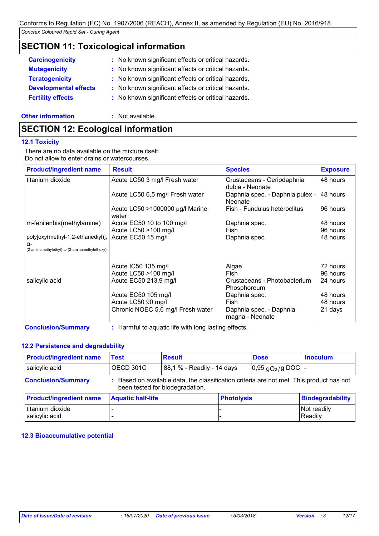## **SECTION 11: Toxicological information**

| <b>Carcinogenicity</b>       | : No known significant effects or critical hazards. |
|------------------------------|-----------------------------------------------------|
| <b>Mutagenicity</b>          | : No known significant effects or critical hazards. |
| <b>Teratogenicity</b>        | : No known significant effects or critical hazards. |
| <b>Developmental effects</b> | : No known significant effects or critical hazards. |
| <b>Fertility effects</b>     | : No known significant effects or critical hazards. |
|                              |                                                     |

### **Other information :** Not available.

## **SECTION 12: Ecological information**

### **12.1 Toxicity**

There are no data available on the mixture itself. Do not allow to enter drains or watercourses.

| <b>Product/ingredient name</b>                                                                   | <b>Result</b>                            | <b>Species</b>                                | <b>Exposure</b> |
|--------------------------------------------------------------------------------------------------|------------------------------------------|-----------------------------------------------|-----------------|
| titanium dioxide                                                                                 | Acute LC50 3 mg/l Fresh water            | Crustaceans - Ceriodaphnia<br>dubia - Neonate | 48 hours        |
|                                                                                                  | Acute LC50 6,5 mg/l Fresh water          | Daphnia spec. - Daphnia pulex -<br>Neonate    | 48 hours        |
|                                                                                                  | Acute LC50 >1000000 µg/l Marine<br>water | Fish - Fundulus heteroclitus                  | 96 hours        |
| m-fenilenbis(methylamine)                                                                        | Acute EC50 10 to 100 mg/l                | Daphnia spec.                                 | 48 hours        |
|                                                                                                  | Acute LC50 >100 mg/l                     | Fish                                          | 96 hours        |
| poly[oxy(methyl-1,2-ethanediyl)],<br>$\alpha$ -<br>(2-aminomethylethyl)-ω-(2-aminomethylethoxy)- | Acute EC50 15 mg/l                       | Daphnia spec.                                 | 48 hours        |
|                                                                                                  | Acute IC50 135 mg/l                      | Algae                                         | 72 hours        |
|                                                                                                  | Acute LC50 >100 mg/l                     | Fish                                          | 96 hours        |
| salicylic acid                                                                                   | Acute EC50 213,9 mg/l                    | Crustaceans - Photobacterium<br>Phosphoreum   | 24 hours        |
|                                                                                                  | Acute EC50 105 mg/l                      | Daphnia spec.                                 | 48 hours        |
|                                                                                                  | Acute LC50 90 mg/l                       | Fish                                          | 48 hours        |
|                                                                                                  | Chronic NOEC 5,6 mg/l Fresh water        | Daphnia spec. - Daphnia<br>magna - Neonate    | 21 days         |

**Conclusion/Summary :** Harmful to aquatic life with long lasting effects.

### **12.2 Persistence and degradability**

| <b>Product/ingredient name</b>     | <b>Test</b>              | <b>Result</b>                                                                                                               |                   | <b>Dose</b>                          | <b>Inoculum</b>         |
|------------------------------------|--------------------------|-----------------------------------------------------------------------------------------------------------------------------|-------------------|--------------------------------------|-------------------------|
| salicylic acid                     | <b>OECD 301C</b>         | 88,1 % - Readily - 14 days                                                                                                  |                   | $ 0,95 \text{ qO}_2/\text{g}$ DOC  - |                         |
| <b>Conclusion/Summary</b>          |                          | : Based on available data, the classification criteria are not met. This product has not<br>been tested for biodegradation. |                   |                                      |                         |
| <b>Product/ingredient name</b>     | <b>Aquatic half-life</b> |                                                                                                                             | <b>Photolysis</b> |                                      | <b>Biodegradability</b> |
| titanium dioxide<br>salicylic acid |                          |                                                                                                                             |                   |                                      | Not readily<br>Readily  |

### **12.3 Bioaccumulative potential**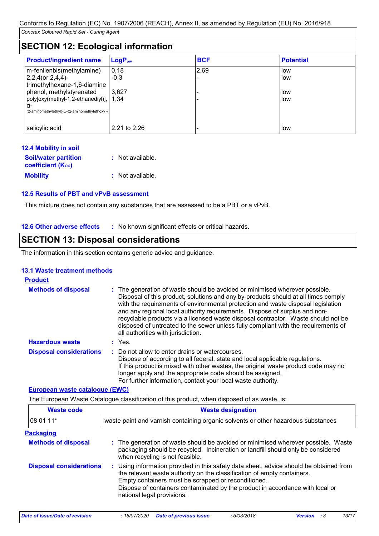## **SECTION 12: Ecological information**

| <b>Product/ingredient name</b>                                                                    | $LogP_{ow}$    | <b>BCF</b> | <b>Potential</b> |  |  |  |
|---------------------------------------------------------------------------------------------------|----------------|------------|------------------|--|--|--|
| m-fenilenbis(methylamine)<br>$2,2,4$ (or $2,4,4$ )-                                               | 0,18<br>$-0.3$ | 2,69       | low<br>low       |  |  |  |
| trimethylhexane-1,6-diamine<br>phenol, methylstyrenated<br>poly[oxy(methyl-1,2-ethanediyl)], 1.34 | 3.627          |            | low<br>low       |  |  |  |
| α-<br>(2-aminomethylethyl)-ω-(2-aminomethylethoxy)-                                               |                |            |                  |  |  |  |
| salicylic acid                                                                                    | 2.21 to 2.26   |            | low              |  |  |  |

| 12.4 Mobility in soil                                   |                  |
|---------------------------------------------------------|------------------|
| <b>Soil/water partition</b><br><b>coefficient (Koc)</b> | : Not available. |
| <b>Mobility</b>                                         | : Not available. |

### **12.5 Results of PBT and vPvB assessment**

This mixture does not contain any substances that are assessed to be a PBT or a vPvB.

**12.6 Other adverse effects** : No known significant effects or critical hazards.

## **SECTION 13: Disposal considerations**

The information in this section contains generic advice and guidance.

### **13.1 Waste treatment methods**

| <b>Product</b>                 |                                                                                                                                                                                                                                                                                                                                                                                                                                                                                                                                                      |
|--------------------------------|------------------------------------------------------------------------------------------------------------------------------------------------------------------------------------------------------------------------------------------------------------------------------------------------------------------------------------------------------------------------------------------------------------------------------------------------------------------------------------------------------------------------------------------------------|
| <b>Methods of disposal</b>     | : The generation of waste should be avoided or minimised wherever possible.<br>Disposal of this product, solutions and any by-products should at all times comply<br>with the requirements of environmental protection and waste disposal legislation<br>and any regional local authority requirements. Dispose of surplus and non-<br>recyclable products via a licensed waste disposal contractor. Waste should not be<br>disposed of untreated to the sewer unless fully compliant with the requirements of<br>all authorities with jurisdiction. |
| <b>Hazardous waste</b>         | : Yes.                                                                                                                                                                                                                                                                                                                                                                                                                                                                                                                                               |
| <b>Disposal considerations</b> | Do not allow to enter drains or watercourses.<br>Dispose of according to all federal, state and local applicable regulations.<br>If this product is mixed with other wastes, the original waste product code may no<br>longer apply and the appropriate code should be assigned.<br>For further information, contact your local waste authority.                                                                                                                                                                                                     |

### **European waste catalogue (EWC)**

The European Waste Catalogue classification of this product, when disposed of as waste, is:

| <b>Waste code</b>              | <b>Waste designation</b>                                                                                                                                                                                                                                                                                                                |  |  |  |
|--------------------------------|-----------------------------------------------------------------------------------------------------------------------------------------------------------------------------------------------------------------------------------------------------------------------------------------------------------------------------------------|--|--|--|
| 08 01 11*                      | waste paint and varnish containing organic solvents or other hazardous substances                                                                                                                                                                                                                                                       |  |  |  |
| <b>Packaging</b>               |                                                                                                                                                                                                                                                                                                                                         |  |  |  |
| <b>Methods of disposal</b>     | : The generation of waste should be avoided or minimised wherever possible. Waste<br>packaging should be recycled. Incineration or landfill should only be considered<br>when recycling is not feasible.                                                                                                                                |  |  |  |
| <b>Disposal considerations</b> | : Using information provided in this safety data sheet, advice should be obtained from<br>the relevant waste authority on the classification of empty containers.<br>Empty containers must be scrapped or reconditioned.<br>Dispose of containers contaminated by the product in accordance with local or<br>national legal provisions. |  |  |  |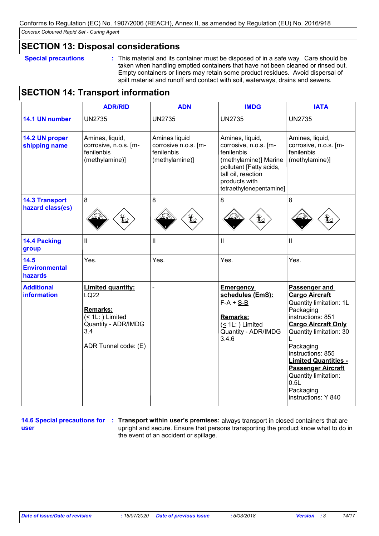### **SECTION 13: Disposal considerations**

**Special precautions :** This material and its container must be disposed of in a safe way. Care should be taken when handling emptied containers that have not been cleaned or rinsed out. Empty containers or liners may retain some product residues. Avoid dispersal of spilt material and runoff and contact with soil, waterways, drains and sewers.

## **SECTION 14: Transport information**

|                                           | <b>ADR/RID</b>                                                                                                                      | <b>ADN</b>                                                            | <b>IMDG</b>                                                                                                                                                                  | <b>IATA</b>                                                                                                                                                                                                                                                                                                                    |
|-------------------------------------------|-------------------------------------------------------------------------------------------------------------------------------------|-----------------------------------------------------------------------|------------------------------------------------------------------------------------------------------------------------------------------------------------------------------|--------------------------------------------------------------------------------------------------------------------------------------------------------------------------------------------------------------------------------------------------------------------------------------------------------------------------------|
| 14.1 UN number                            | <b>UN2735</b>                                                                                                                       | <b>UN2735</b>                                                         | <b>UN2735</b>                                                                                                                                                                | <b>UN2735</b>                                                                                                                                                                                                                                                                                                                  |
| 14.2 UN proper<br>shipping name           | Amines, liquid,<br>corrosive, n.o.s. [m-<br>fenilenbis<br>(methylamine)]                                                            | Amines liquid<br>corrosive n.o.s. [m-<br>fenilenbis<br>(methylamine)] | Amines, liquid,<br>corrosive, n.o.s. [m-<br>fenilenbis<br>(methylamine)] Marine<br>pollutant [Fatty acids,<br>tall oil, reaction<br>products with<br>tetraethylenepentamine] | Amines, liquid,<br>corrosive, n.o.s. [m-<br>fenilenbis<br>(methylamine)]                                                                                                                                                                                                                                                       |
| <b>14.3 Transport</b><br>hazard class(es) | 8                                                                                                                                   | 8<br>$\bigoplus$                                                      | 8                                                                                                                                                                            | 8                                                                                                                                                                                                                                                                                                                              |
| <b>14.4 Packing</b><br>group              | $\mathbf{II}$                                                                                                                       | Ш                                                                     | $\mathbf{I}$                                                                                                                                                                 | $\mathbf{II}$                                                                                                                                                                                                                                                                                                                  |
| 14.5<br><b>Environmental</b><br>hazards   | Yes.                                                                                                                                | Yes.                                                                  | Yes.                                                                                                                                                                         | Yes.                                                                                                                                                                                                                                                                                                                           |
| <b>Additional</b><br><b>information</b>   | <b>Limited quantity:</b><br><b>LQ22</b><br>Remarks:<br>$( \leq 1L: )$ Limited<br>Quantity - ADR/IMDG<br>3.4<br>ADR Tunnel code: (E) |                                                                       | <b>Emergency</b><br>schedules (EmS):<br>$F-A + S-B$<br>Remarks:<br>$($ 1L: $)$ Limited<br>Quantity - ADR/IMDG<br>3.4.6                                                       | Passenger and<br><b>Cargo Aircraft</b><br>Quantity limitation: 1L<br>Packaging<br>instructions: 851<br><b>Cargo Aircraft Only</b><br>Quantity limitation: 30<br>Packaging<br>instructions: 855<br><b>Limited Quantities -</b><br><b>Passenger Aircraft</b><br>Quantity limitation:<br>0.5L<br>Packaging<br>instructions: Y 840 |

**user**

**14.6 Special precautions for : Transport within user's premises: always transport in closed containers that are** upright and secure. Ensure that persons transporting the product know what to do in the event of an accident or spillage.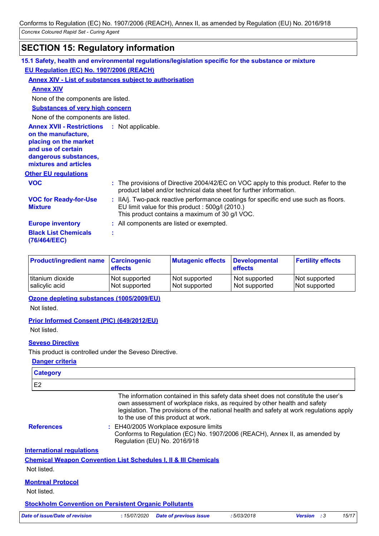## **SECTION 15: Regulatory information**

|                                                                                                                                                                            | 15.1 Safety, health and environmental regulations/legislation specific for the substance or mixture                                                                                        |
|----------------------------------------------------------------------------------------------------------------------------------------------------------------------------|--------------------------------------------------------------------------------------------------------------------------------------------------------------------------------------------|
| EU Regulation (EC) No. 1907/2006 (REACH)                                                                                                                                   |                                                                                                                                                                                            |
|                                                                                                                                                                            | <b>Annex XIV - List of substances subject to authorisation</b>                                                                                                                             |
| <b>Annex XIV</b>                                                                                                                                                           |                                                                                                                                                                                            |
| None of the components are listed.                                                                                                                                         |                                                                                                                                                                                            |
| <b>Substances of very high concern</b>                                                                                                                                     |                                                                                                                                                                                            |
| None of the components are listed.                                                                                                                                         |                                                                                                                                                                                            |
| <b>Annex XVII - Restrictions : Not applicable.</b><br>on the manufacture,<br>placing on the market<br>and use of certain<br>dangerous substances,<br>mixtures and articles |                                                                                                                                                                                            |
| <b>Other EU regulations</b>                                                                                                                                                |                                                                                                                                                                                            |
| <b>VOC</b>                                                                                                                                                                 | : The provisions of Directive 2004/42/EC on VOC apply to this product. Refer to the<br>product label and/or technical data sheet for further information.                                  |
| <b>VOC for Ready-for-Use</b><br><b>Mixture</b>                                                                                                                             | : IIA/j. Two-pack reactive performance coatings for specific end use such as floors.<br>EU limit value for this product : 500g/l (2010.)<br>This product contains a maximum of 30 g/l VOC. |
| <b>Europe inventory</b>                                                                                                                                                    | : All components are listed or exempted.                                                                                                                                                   |
| <b>Black List Chemicals</b><br>(76/464/EEC)                                                                                                                                | t                                                                                                                                                                                          |

| <b>Product/ingredient name Carcinogenic</b> | <b>effects</b> | <b>Mutagenic effects</b> | <b>Developmental</b><br><b>effects</b> | <b>Fertility effects</b> |
|---------------------------------------------|----------------|--------------------------|----------------------------------------|--------------------------|
| titanium dioxide                            | Not supported  | Not supported            | Not supported                          | Not supported            |
| salicylic acid                              | Not supported  | Not supported            | Not supported                          | Not supported            |

### **Ozone depleting substances (1005/2009/EU)**

Not listed.

### **Prior Informed Consent (PIC) (649/2012/EU)**

Not listed.

### **Seveso Directive**

This product is controlled under the Seveso Directive.

### **Danger criteria**

| <b>Category</b>                  |                                                                                                                                                                                                                                                                                                   |            |                    |       |
|----------------------------------|---------------------------------------------------------------------------------------------------------------------------------------------------------------------------------------------------------------------------------------------------------------------------------------------------|------------|--------------------|-------|
| E2                               |                                                                                                                                                                                                                                                                                                   |            |                    |       |
|                                  | The information contained in this safety data sheet does not constitute the user's<br>own assessment of workplace risks, as required by other health and safety<br>legislation. The provisions of the national health and safety at work regulations apply<br>to the use of this product at work. |            |                    |       |
| <b>References</b>                | : EH40/2005 Workplace exposure limits<br>Conforms to Regulation (EC) No. 1907/2006 (REACH), Annex II, as amended by<br>Regulation (EU) No. 2016/918                                                                                                                                               |            |                    |       |
| <b>International requlations</b> |                                                                                                                                                                                                                                                                                                   |            |                    |       |
|                                  | <u>Chemical Weapon Convention List Schedules I, II &amp; III Chemicals</u>                                                                                                                                                                                                                        |            |                    |       |
| Not listed.                      |                                                                                                                                                                                                                                                                                                   |            |                    |       |
| <b>Montreal Protocol</b>         |                                                                                                                                                                                                                                                                                                   |            |                    |       |
| Not listed.                      |                                                                                                                                                                                                                                                                                                   |            |                    |       |
|                                  | <b>Stockholm Convention on Persistent Organic Pollutants</b>                                                                                                                                                                                                                                      |            |                    |       |
| Date of issue/Date of revision   | :15/07/2020<br><b>Date of previous issue</b>                                                                                                                                                                                                                                                      | :5/03/2018 | <b>Version</b> : 3 | 15/17 |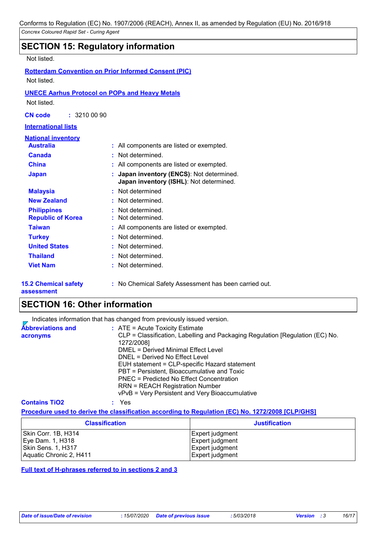### **SECTION 15: Regulatory information**

Not listed.

**Rotterdam Convention on Prior Informed Consent (PIC)** Not listed.

### **UNECE Aarhus Protocol on POPs and Heavy Metals**

Not listed.

**CN code :** 3210 00 90

### **International lists**

| <u>National inventory</u><br><b>Australia</b>  | : All components are listed or exempted.                                             |
|------------------------------------------------|--------------------------------------------------------------------------------------|
| <b>Canada</b>                                  | : Not determined.                                                                    |
| <b>China</b>                                   | : All components are listed or exempted.                                             |
| <b>Japan</b>                                   | : Japan inventory (ENCS): Not determined.<br>Japan inventory (ISHL): Not determined. |
| <b>Malaysia</b>                                | : Not determined                                                                     |
| <b>New Zealand</b>                             | : Not determined.                                                                    |
| <b>Philippines</b><br><b>Republic of Korea</b> | : Not determined.<br>: Not determined.                                               |
| <b>Taiwan</b>                                  | : All components are listed or exempted.                                             |
| <b>Turkey</b>                                  | : Not determined.                                                                    |
| <b>United States</b>                           | : Not determined.                                                                    |
| <b>Thailand</b>                                | : Not determined.                                                                    |
| <b>Viet Nam</b>                                | : Not determined.                                                                    |

#### **15.2 Chemical safety assessment**

**:** No Chemical Safety Assessment has been carried out.

### **SECTION 16: Other information**

Indicates information that has changed from previously issued version.

| <b>Abbreviations and</b> | $:$ ATE = Acute Toxicity Estimate                                             |
|--------------------------|-------------------------------------------------------------------------------|
| acronyms                 | CLP = Classification, Labelling and Packaging Regulation [Regulation (EC) No. |
|                          | 1272/2008]                                                                    |
|                          | DMEL = Derived Minimal Effect Level                                           |
|                          | DNEL = Derived No Effect Level                                                |
|                          | EUH statement = CLP-specific Hazard statement                                 |
|                          | PBT = Persistent, Bioaccumulative and Toxic                                   |
|                          | PNEC = Predicted No Effect Concentration                                      |
|                          | <b>RRN = REACH Registration Number</b>                                        |
|                          | vPvB = Very Persistent and Very Bioaccumulative                               |
|                          |                                                                               |

**Contains TiO2 :** Yes

#### **Procedure used to derive the classification according to Regulation (EC) No. 1272/2008 [CLP/GHS]**

| <b>Classification</b>   | <b>Justification</b> |
|-------------------------|----------------------|
| Skin Corr. 1B, H314     | Expert judgment      |
| Eye Dam. 1, H318        | Expert judgment      |
| Skin Sens. 1, H317      | Expert judgment      |
| Aquatic Chronic 2, H411 | Expert judgment      |

**Full text of H-phrases referred to in sections 2 and 3**